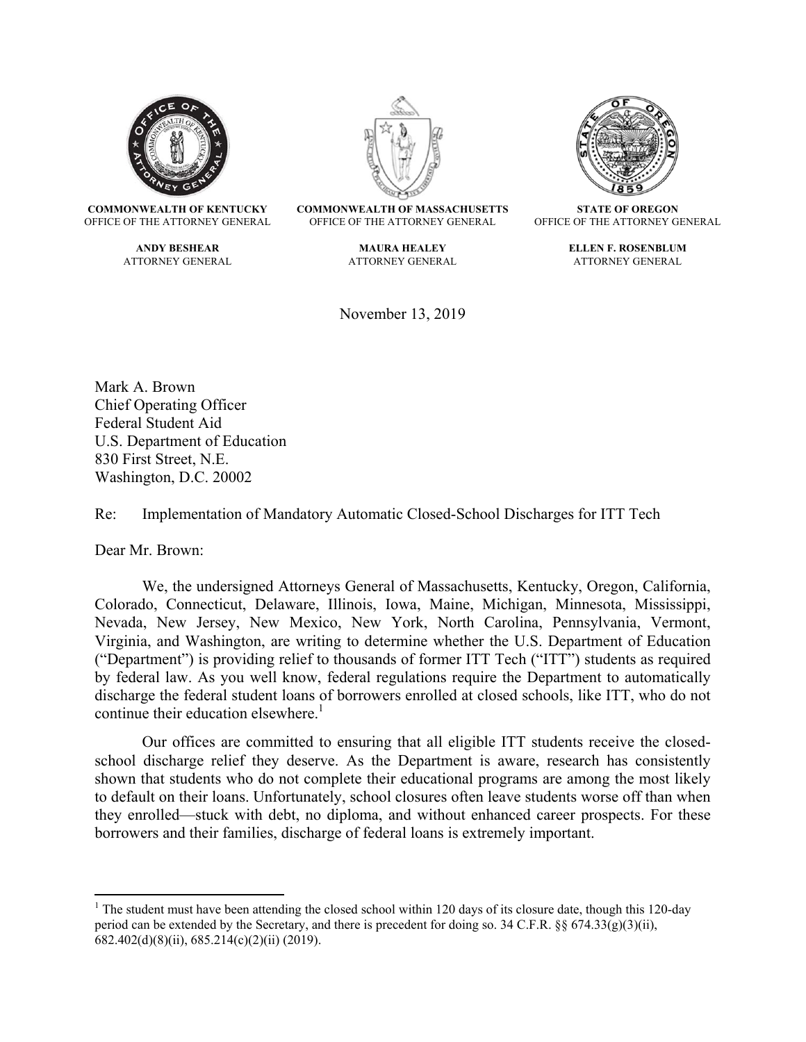

**COMMONWEALTH OF KENTUCKY**  OFFICE OF THE ATTORNEY GENERAL

> **ANDY BESHEAR**  ATTORNEY GENERAL



**COMMONWEALTH OF MASSACHUSETTS**  OFFICE OF THE ATTORNEY GENERAL

> **MAURA HEALEY**  ATTORNEY GENERAL

November 13, 2019



**STATE OF OREGON**  OFFICE OF THE ATTORNEY GENERAL

> **ELLEN F. ROSENBLUM**  ATTORNEY GENERAL

Mark A. Brown Chief Operating Officer Federal Student Aid U.S. Department of Education 830 First Street, N.E. Washington, D.C. 20002

Re: Implementation of Mandatory Automatic Closed-School Discharges for ITT Tech

Dear Mr. Brown:

We, the undersigned Attorneys General of Massachusetts, Kentucky, Oregon, California, Colorado, Connecticut, Delaware, Illinois, Iowa, Maine, Michigan, Minnesota, Mississippi, Nevada, New Jersey, New Mexico, New York, North Carolina, Pennsylvania, Vermont, Virginia, and Washington, are writing to determine whether the U.S. Department of Education ("Department") is providing relief to thousands of former ITT Tech ("ITT") students as required by federal law. As you well know, federal regulations require the Department to automatically discharge the federal student loans of borrowers enrolled at closed schools, like ITT, who do not continue their education elsewhere. $\frac{1}{1}$ 

Our offices are committed to ensuring that all eligible ITT students receive the closedschool discharge relief they deserve. As the Department is aware, research has consistently shown that students who do not complete their educational programs are among the most likely to default on their loans. Unfortunately, school closures often leave students worse off than when they enrolled—stuck with debt, no diploma, and without enhanced career prospects. For these borrowers and their families, discharge of federal loans is extremely important.

<sup>&</sup>lt;sup>1</sup> The student must have been attending the closed school within 120 days of its closure date, though this 120-day period can be extended by the Secretary, and there is precedent for doing so. 34 C.F.R. §§ 674.33(g)(3)(ii), 682.402(d)(8)(ii), 685.214(c)(2)(ii) (2019).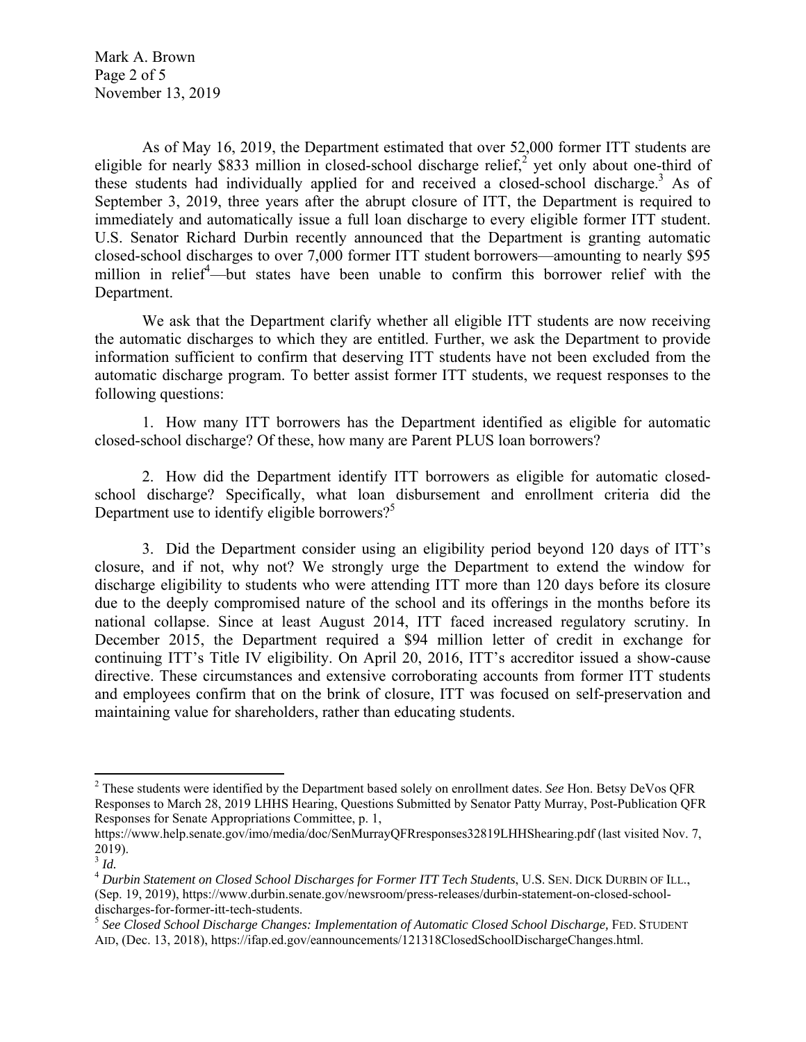Mark A. Brown Page 2 of 5 November 13, 2019

As of May 16, 2019, the Department estimated that over 52,000 former ITT students are eligible for nearly \$833 million in closed-school discharge relief,<sup>2</sup> yet only about one-third of these students had individually applied for and received a closed-school discharge.<sup>3</sup> As of September 3, 2019, three years after the abrupt closure of ITT, the Department is required to immediately and automatically issue a full loan discharge to every eligible former ITT student. U.S. Senator Richard Durbin recently announced that the Department is granting automatic closed-school discharges to over 7,000 former ITT student borrowers—amounting to nearly \$95 million in relief<sup>4</sup>—but states have been unable to confirm this borrower relief with the Department.

We ask that the Department clarify whether all eligible ITT students are now receiving the automatic discharges to which they are entitled. Further, we ask the Department to provide information sufficient to confirm that deserving ITT students have not been excluded from the automatic discharge program. To better assist former ITT students, we request responses to the following questions:

1. How many ITT borrowers has the Department identified as eligible for automatic closed-school discharge? Of these, how many are Parent PLUS loan borrowers?

2. How did the Department identify ITT borrowers as eligible for automatic closedschool discharge? Specifically, what loan disbursement and enrollment criteria did the Department use to identify eligible borrowers? $5$ 

3. Did the Department consider using an eligibility period beyond 120 days of ITT's closure, and if not, why not? We strongly urge the Department to extend the window for discharge eligibility to students who were attending ITT more than 120 days before its closure due to the deeply compromised nature of the school and its offerings in the months before its national collapse. Since at least August 2014, ITT faced increased regulatory scrutiny. In December 2015, the Department required a \$94 million letter of credit in exchange for continuing ITT's Title IV eligibility. On April 20, 2016, ITT's accreditor issued a show-cause directive. These circumstances and extensive corroborating accounts from former ITT students and employees confirm that on the brink of closure, ITT was focused on self-preservation and maintaining value for shareholders, rather than educating students.

<sup>2</sup> These students were identified by the Department based solely on enrollment dates. *See* Hon. Betsy DeVos QFR Responses to March 28, 2019 LHHS Hearing, Questions Submitted by Senator Patty Murray, Post-Publication QFR Responses for Senate Appropriations Committee, p. 1,

https://www.help.senate.gov/imo/media/doc/SenMurrayQFRresponses32819LHHShearing.pdf (last visited Nov. 7, 2019).

<sup>3</sup> *Id.*

<sup>4</sup> *Durbin Statement on Closed School Discharges for Former ITT Tech Students*, U.S. SEN. DICK DURBIN OF ILL., (Sep. 19, 2019), https://www.durbin.senate.gov/newsroom/press-releases/durbin-statement-on-closed-schooldischarges-for-former-itt-tech-students.<br><sup>5</sup> See Closed School Discharge Changes: Implementation of Automatic Closed School Discharge, FED. STUDENT

AID, (Dec. 13, 2018), https://ifap.ed.gov/eannouncements/121318ClosedSchoolDischargeChanges.html.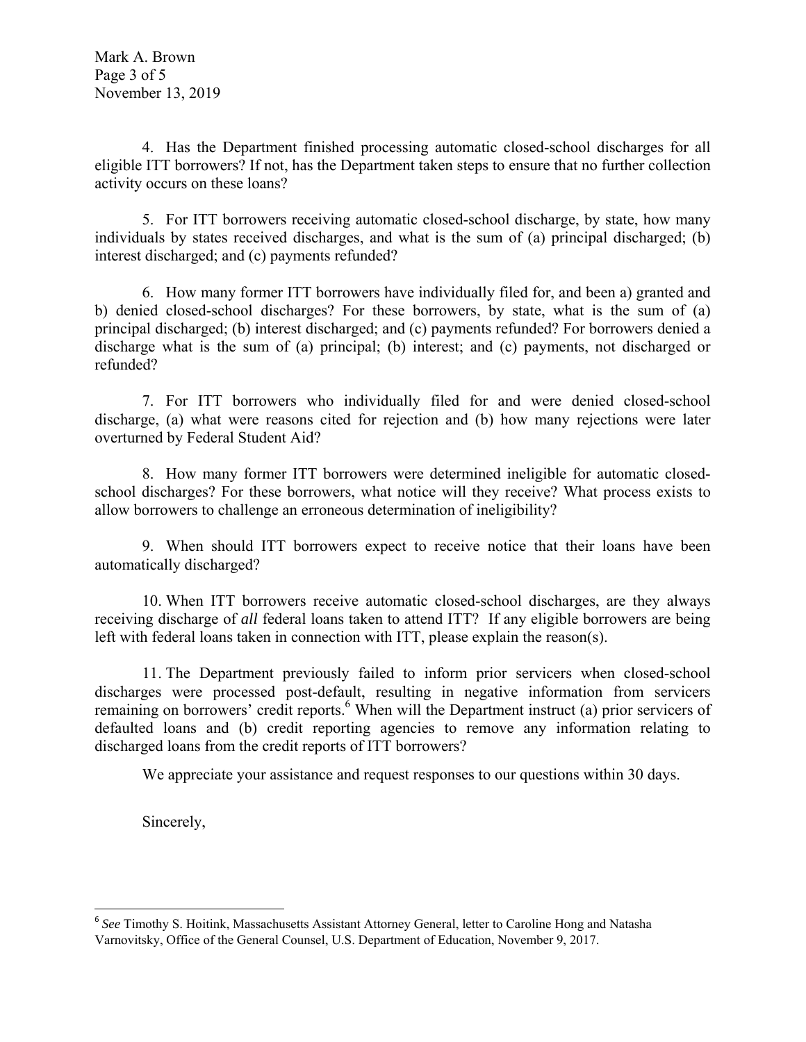4. Has the Department finished processing automatic closed-school discharges for all eligible ITT borrowers? If not, has the Department taken steps to ensure that no further collection activity occurs on these loans?

5. For ITT borrowers receiving automatic closed-school discharge, by state, how many individuals by states received discharges, and what is the sum of (a) principal discharged; (b) interest discharged; and (c) payments refunded?

6. How many former ITT borrowers have individually filed for, and been a) granted and b) denied closed-school discharges? For these borrowers, by state, what is the sum of (a) principal discharged; (b) interest discharged; and (c) payments refunded? For borrowers denied a discharge what is the sum of (a) principal; (b) interest; and (c) payments, not discharged or refunded?

7. For ITT borrowers who individually filed for and were denied closed-school discharge, (a) what were reasons cited for rejection and (b) how many rejections were later overturned by Federal Student Aid?

8. How many former ITT borrowers were determined ineligible for automatic closedschool discharges? For these borrowers, what notice will they receive? What process exists to allow borrowers to challenge an erroneous determination of ineligibility?

9. When should ITT borrowers expect to receive notice that their loans have been automatically discharged?

10. When ITT borrowers receive automatic closed-school discharges, are they always receiving discharge of *all* federal loans taken to attend ITT? If any eligible borrowers are being left with federal loans taken in connection with ITT, please explain the reason(s).

11. The Department previously failed to inform prior servicers when closed-school discharges were processed post-default, resulting in negative information from servicers remaining on borrowers' credit reports.<sup>6</sup> When will the Department instruct (a) prior servicers of defaulted loans and (b) credit reporting agencies to remove any information relating to discharged loans from the credit reports of ITT borrowers?

We appreciate your assistance and request responses to our questions within 30 days.

Sincerely,

<sup>&</sup>lt;sup>6</sup> See Timothy S. Hoitink, Massachusetts Assistant Attorney General, letter to Caroline Hong and Natasha Varnovitsky, Office of the General Counsel, U.S. Department of Education, November 9, 2017.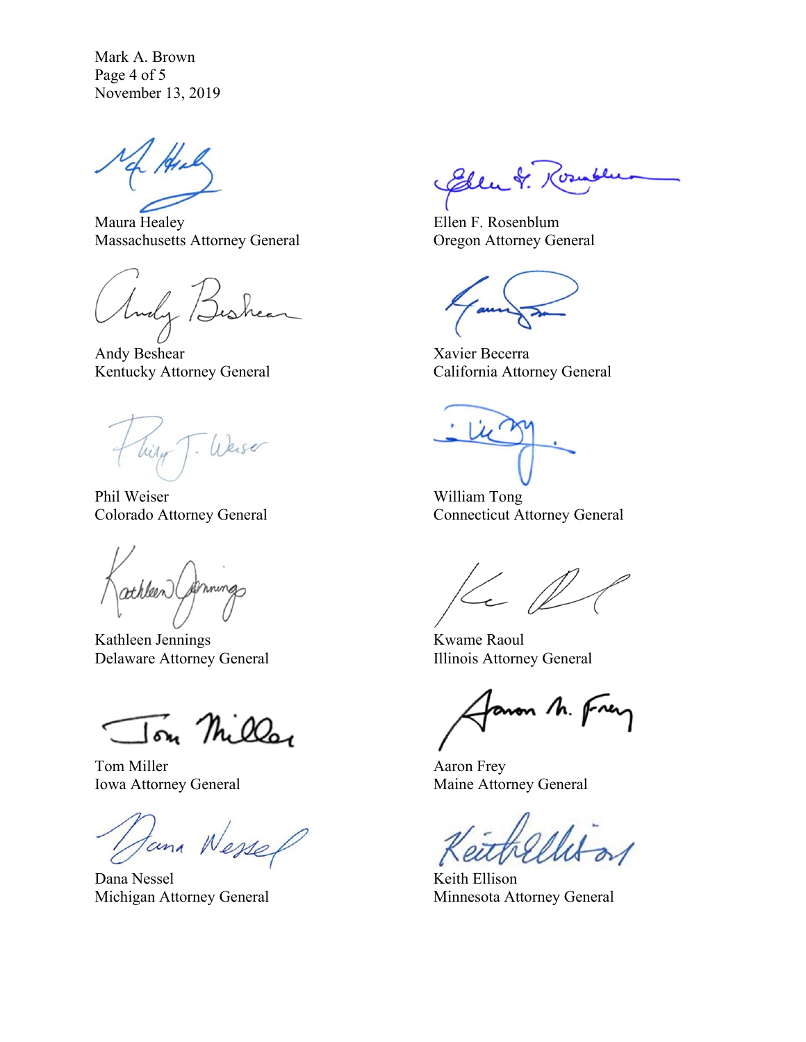Mark A. Brown Page 4 of 5 November 13, 2019

Maura Healey Massachusetts Attorney General

Andy /=

Andy Beshear Kentucky Attorney General

- Weiser Wilson

Phil Weiser Colorado Attorney General

athleen (Ammings

Kathleen Jennings Delaware Attorney General

Ton Miller

Tom Miller Iowa Attorney General

Jana Wessel

Dana Nessel Michigan Attorney General

Elen &. Ros

 Ellen F. Rosenblum Oregon Attorney General

 Xavier Becerra California Attorney General

 William Tong Connecticut Attorney General

 $Kel$ 

 Kwame Raoul Illinois Attorney General

anon M. Frey

 Aaron Frey Maine Attorney General

 Keith Ellison Minnesota Attorney General